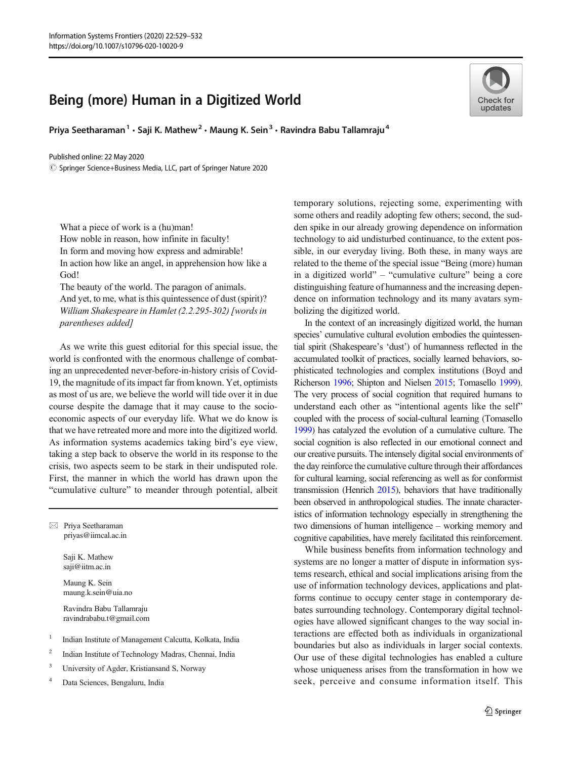## Being (more) Human in a Digitized World

Priya Seetharaman<sup>1</sup> • Saji K. Mathew<sup>2</sup> • Maung K. Sein<sup>3</sup> • Ravindra Babu Tallamraju<sup>4</sup>

Published online: 22 May 2020

 $\oslash$  Springer Science+Business Media, LLC, part of Springer Nature 2020

What a piece of work is a (hu)man! How noble in reason, how infinite in faculty! In form and moving how express and admirable! In action how like an angel, in apprehension how like a God!

The beauty of the world. The paragon of animals. And yet, to me, what is this quintessence of dust (spirit)? *William Shakespeare in Hamlet (2.2.295-302) [words in*

*parentheses added]*

As we write this guest editorial for this special issue, the world is confronted with the enormous challenge of combating an unprecedented never-before-in-history crisis of Covid-19, the magnitude of its impact far from known. Yet, optimists as most of us are, we believe the world will tide over it in due course despite the damage that it may cause to the socioeconomic aspects of our everyday life. What we do know is that we have retreated more and more into the digitized world. As information systems academics taking bird's eye view, taking a step back to observe the world in its response to the crisis, two aspects seem to be stark in their undisputed role. First, the manner in which the world has drawn upon the "cumulative culture" to meander through potential, albeit

 $\boxtimes$  Priya Seetharaman [priyas@iimcal.ac.in](mailto:priyas@iimcal.ac.in)

> Saji K. Mathew saji@iitm.ac.in

Maung K. Sein maung.k.sein@uia.no

Ravindra Babu Tallamraju ravindrababu.t@gmail.com

- 1 Indian Institute of Management Calcutta, Kolkata, India
- 2 Indian Institute of Technology Madras, Chennai, India
- <sup>3</sup> University of Agder, Kristiansand S, Norway
- <sup>4</sup> Data Sciences, Bengaluru, India



temporary solutions, rejecting some, experimenting with some others and readily adopting few others; second, the sudden spike in our already growing dependence on information technology to aid undisturbed continuance, to the extent possible, in our everyday living. Both these, in many ways are related to the theme of the special issue "Being (more) human in a digitized world"–"cumulative culture" being a core distinguishing feature of humanness and the increasing dependence on information technology and its many avatars symbolizing the digitized world.

In the context of an increasingly digitized world, the human species' cumulative cultural evolution embodies the quintessential spirit (Shakespeare's 'dust') of humanness reflected in the accumulated toolkit of practices, socially learned behaviors, sophisticated technologies and complex institutions (Boyd and Richerson [1996;](#page-3-0) Shipton and Nielsen [2015;](#page-3-0) Tomasello [1999\)](#page-3-0). The very process of social cognition that required humans to understand each other as "intentional agents like the self" coupled with the process of social-cultural learning (Tomasello [1999\)](#page-3-0) has catalyzed the evolution of a cumulative culture. The social cognition is also reflected in our emotional connect and our creative pursuits. The intensely digital social environments of the day reinforce the cumulative culture through their affordances for cultural learning, social referencing as well as for conformist transmission (Henrich [2015\)](#page-3-0), behaviors that have traditionally been observed in anthropological studies. The innate characteristics of information technology especially in strengthening the two dimensions of human intelligence – working memory and cognitive capabilities, have merely facilitated this reinforcement.

While business benefits from information technology and systems are no longer a matter of dispute in information systems research, ethical and social implications arising from the use of information technology devices, applications and platforms continue to occupy center stage in contemporary debates surrounding technology. Contemporary digital technologies have allowed significant changes to the way social interactions are effected both as individuals in organizational boundaries but also as individuals in larger social contexts. Our use of these digital technologies has enabled a culture whose uniqueness arises from the transformation in how we seek, perceive and consume information itself. This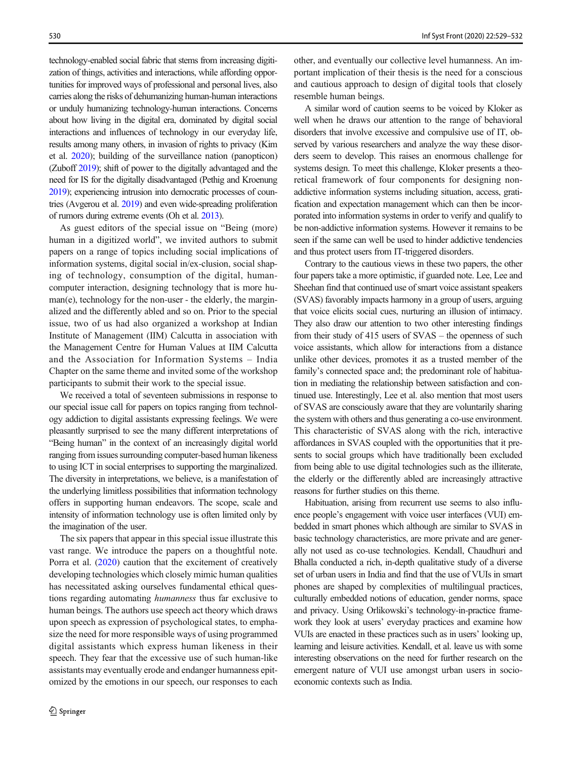technology-enabled social fabric that stems from increasing digitization of things, activities and interactions, while affording opportunities for improved ways of professional and personal lives, also carries along the risks of dehumanizing human-human interactions or unduly humanizing technology-human interactions. Concerns about how living in the digital era, dominated by digital social interactions and influences of technology in our everyday life, results among many others, in invasion of rights to privacy (Kim et al. [2020](#page-3-0)); building of the surveillance nation (panopticon) (Zuboff [2019](#page-3-0)); shift of power to the digitally advantaged and the need for IS for the digitally disadvantaged (Pethig and Kroenung [2019](#page-3-0)); experiencing intrusion into democratic processes of countries (Avgerou et al. [2019\)](#page-3-0) and even wide-spreading proliferation of rumors during extreme events (Oh et al. [2013](#page-3-0)).

As guest editors of the special issue on "Being (more) human in a digitized world", we invited authors to submit papers on a range of topics including social implications of information systems, digital social in/ex-clusion, social shaping of technology, consumption of the digital, humancomputer interaction, designing technology that is more human(e), technology for the non-user - the elderly, the marginalized and the differently abled and so on. Prior to the special issue, two of us had also organized a workshop at Indian Institute of Management (IIM) Calcutta in association with the Management Centre for Human Values at IIM Calcutta and the Association for Information Systems – India Chapter on the same theme and invited some of the workshop participants to submit their work to the special issue.

We received a total of seventeen submissions in response to our special issue call for papers on topics ranging from technology addiction to digital assistants expressing feelings. We were pleasantly surprised to see the many different interpretations of "Being human" in the context of an increasingly digital world ranging from issues surrounding computer-based human likeness to using ICT in social enterprises to supporting the marginalized. The diversity in interpretations, we believe, is a manifestation of the underlying limitless possibilities that information technology offers in supporting human endeavors. The scope, scale and intensity of information technology use is often limited only by the imagination of the user.

The six papers that appear in this special issue illustrate this vast range. We introduce the papers on a thoughtful note. Porra et al. [\(2020\)](#page-3-0) caution that the excitement of creatively developing technologies which closely mimic human qualities has necessitated asking ourselves fundamental ethical questions regarding automating *humanness* thus far exclusive to human beings. The authors use speech act theory which draws upon speech as expression of psychological states, to emphasize the need for more responsible ways of using programmed digital assistants which express human likeness in their speech. They fear that the excessive use of such human-like assistants may eventually erode and endanger humanness epitomized by the emotions in our speech, our responses to each other, and eventually our collective level humanness. An important implication of their thesis is the need for a conscious and cautious approach to design of digital tools that closely resemble human beings.

A similar word of caution seems to be voiced by Kloker as well when he draws our attention to the range of behavioral disorders that involve excessive and compulsive use of IT, observed by various researchers and analyze the way these disorders seem to develop. This raises an enormous challenge for systems design. To meet this challenge, Kloker presents a theoretical framework of four components for designing nonaddictive information systems including situation, access, gratification and expectation management which can then be incorporated into information systems in order to verify and qualify to be non-addictive information systems. However it remains to be seen if the same can well be used to hinder addictive tendencies and thus protect users from IT-triggered disorders.

Contrary to the cautious views in these two papers, the other four papers take a more optimistic, if guarded note. Lee, Lee and Sheehan find that continued use of smart voice assistant speakers (SVAS) favorably impacts harmony in a group of users, arguing that voice elicits social cues, nurturing an illusion of intimacy. They also draw our attention to two other interesting findings from their study of 415 users of SVAS – the openness of such voice assistants, which allow for interactions from a distance unlike other devices, promotes it as a trusted member of the family's connected space and; the predominant role of habituation in mediating the relationship between satisfaction and continued use. Interestingly, Lee et al. also mention that most users of SVAS are consciously aware that they are voluntarily sharing the system with others and thus generating a co-use environment. This characteristic of SVAS along with the rich, interactive affordances in SVAS coupled with the opportunities that it presents to social groups which have traditionally been excluded from being able to use digital technologies such as the illiterate, the elderly or the differently abled are increasingly attractive reasons for further studies on this theme.

Habituation, arising from recurrent use seems to also influence people's engagement with voice user interfaces (VUI) embedded in smart phones which although are similar to SVAS in basic technology characteristics, are more private and are generally not used as co-use technologies. Kendall, Chaudhuri and Bhalla conducted a rich, in-depth qualitative study of a diverse set of urban users in India and find that the use of VUIs in smart phones are shaped by complexities of multilingual practices, culturally embedded notions of education, gender norms, space and privacy. Using Orlikowski's technology-in-practice framework they look at users' everyday practices and examine how VUIs are enacted in these practices such as in users' looking up, learning and leisure activities. Kendall, et al. leave us with some interesting observations on the need for further research on the emergent nature of VUI use amongst urban users in socioeconomic contexts such as India.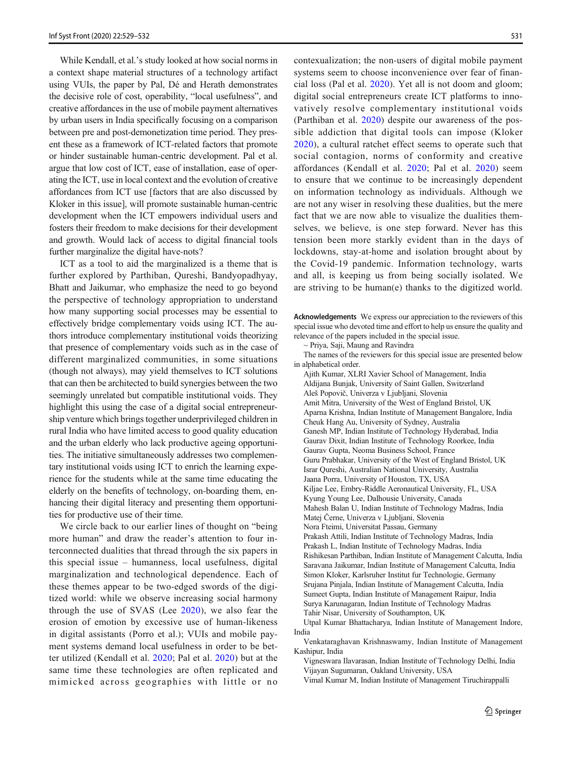While Kendall, et al.'s study looked at how social norms in a context shape material structures of a technology artifact using VUIs, the paper by Pal, Dé and Herath demonstrates the decisive role of cost, operability, "local usefulness", and creative affordances in the use of mobile payment alternatives by urban users in India specifically focusing on a comparison between pre and post-demonetization time period. They present these as a framework of ICT-related factors that promote or hinder sustainable human-centric development. Pal et al. argue that low cost of ICT, ease of installation, ease of operating the ICT, use in local context and the evolution of creative affordances from ICT use [factors that are also discussed by Kloker in this issue], will promote sustainable human-centric development when the ICT empowers individual users and fosters their freedom to make decisions for their development and growth. Would lack of access to digital financial tools further marginalize the digital have-nots?

ICT as a tool to aid the marginalized is a theme that is further explored by Parthiban, Qureshi, Bandyopadhyay, Bhatt and Jaikumar, who emphasize the need to go beyond the perspective of technology appropriation to understand how many supporting social processes may be essential to effectively bridge complementary voids using ICT. The authors introduce complementary institutional voids theorizing that presence of complementary voids such as in the case of different marginalized communities, in some situations (though not always), may yield themselves to ICT solutions that can then be architected to build synergies between the two seemingly unrelated but compatible institutional voids. They highlight this using the case of a digital social entrepreneurship venture which brings together underprivileged children in rural India who have limited access to good quality education and the urban elderly who lack productive ageing opportunities. The initiative simultaneously addresses two complementary institutional voids using ICT to enrich the learning experience for the students while at the same time educating the elderly on the benefits of technology, on-boarding them, enhancing their digital literacy and presenting them opportunities for productive use of their time.

We circle back to our earlier lines of thought on "being more human" and draw the reader's attention to four interconnected dualities that thread through the six papers in this special issue – humanness, local usefulness, digital marginalization and technological dependence. Each of these themes appear to be two-edged swords of the digitized world: while we observe increasing social harmony through the use of SVAS (Lee [2020](#page-3-0)), we also fear the erosion of emotion by excessive use of human-likeness in digital assistants (Porro et al.); VUIs and mobile payment systems demand local usefulness in order to be better utilized (Kendall et al. [2020](#page-3-0); Pal et al. [2020](#page-3-0)) but at the same time these technologies are often replicated and mimicked across geographies with little or no

contexualization; the non-users of digital mobile payment systems seem to choose inconvenience over fear of financial loss (Pal et al. [2020\)](#page-3-0). Yet all is not doom and gloom; digital social entrepreneurs create ICT platforms to innovatively resolve complementary institutional voids (Parthiban et al. [2020\)](#page-3-0) despite our awareness of the possible addiction that digital tools can impose (Kloker [2020](#page-3-0)), a cultural ratchet effect seems to operate such that social contagion, norms of conformity and creative affordances (Kendall et al. [2020](#page-3-0); Pal et al. [2020\)](#page-3-0) seem to ensure that we continue to be increasingly dependent on information technology as individuals. Although we are not any wiser in resolving these dualities, but the mere fact that we are now able to visualize the dualities themselves, we believe, is one step forward. Never has this tension been more starkly evident than in the days of lockdowns, stay-at-home and isolation brought about by the Covid-19 pandemic. Information technology, warts and all, is keeping us from being socially isolated. We are striving to be human(e) thanks to the digitized world.

Acknowledgements We express our appreciation to the reviewers of this special issue who devoted time and effort to help us ensure the quality and relevance of the papers included in the special issue.

 $\sim$  Priya, Saji, Maung and Ravindra

The names of the reviewers for this special issue are presented below in alphabetical order.

Ajith Kumar, XLRI Xavier School of Management, India Aldijana Bunjak, University of Saint Gallen, Switzerland Aleš Popovič, Univerza v Ljubljani, Slovenia Amit Mitra, University of the West of England Bristol, UK Aparna Krishna, Indian Institute of Management Bangalore, India Cheuk Hang Au, University of Sydney, Australia Ganesh MP, Indian Institute of Technology Hyderabad, India Gaurav Dixit, Indian Institute of Technology Roorkee, India Gaurav Gupta, Neoma Business School, France Guru Prabhakar, University of the West of England Bristol, UK Israr Qureshi, Australian National University, Australia Jaana Porra, University of Houston, TX, USA Kiljae Lee, Embry-Riddle Aeronautical University, FL, USA Kyung Young Lee, Dalhousie University, Canada Mahesh Balan U, Indian Institute of Technology Madras, India Matej Černe, Univerza v Ljubljani, Slovenia Nora Fteimi, Universitat Passau, Germany Prakash Attili, Indian Institute of Technology Madras, India Prakash L, Indian Institute of Technology Madras, India Rishikesan Parthiban, Indian Institute of Management Calcutta, India Saravana Jaikumar, Indian Institute of Management Calcutta, India Simon Kloker, Karlsruher Institut fur Technologie, Germany Srujana Pinjala, Indian Institute of Management Calcutta, India Sumeet Gupta, Indian Institute of Management Raipur, India Surya Karunagaran, Indian Institute of Technology Madras Tahir Nisar, University of Southampton, UK Utpal Kumar Bhattacharya, Indian Institute of Management Indore,

India Venkataraghavan Krishnaswamy, Indian Institute of Management Kashipur, India

Vigneswara Ilavarasan, Indian Institute of Technology Delhi, India Vijayan Sugumaran, Oakland University, USA

Vimal Kumar M, Indian Institute of Management Tiruchirappalli